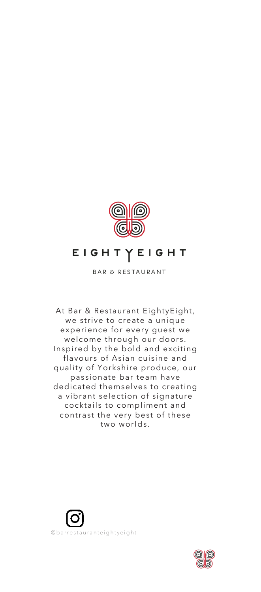

# EIGHTYEIGHT

**BAR & RESTAURANT** 

At Bar & Restaurant EightyEight, we strive to create a unique experience for every guest we welcome through our doors. Inspired by the bold and exciting flavours of Asian cuisine and quality of Yorkshire produce, our passionate bar team have dedicated themselves to creating a vibrant selection of signature cocktails to compliment and contrast the very best of these two worlds.



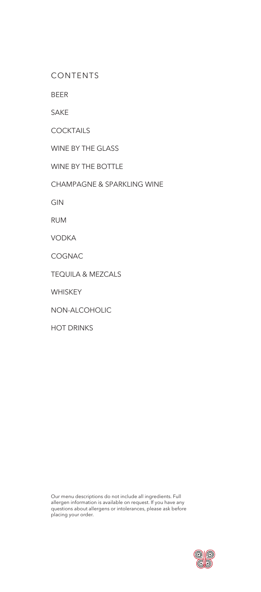CONTENTS

BEER

SAKE

**COCKTAILS** 

WINE BY THE GLASS

WINE BY THE BOTTLE

CHAMPAGNE & SPARKLING WINE

GIN

RUM

VODKA

COGNAC

TEQUILA & MEZCALS

**WHISKEY** 

NON-ALCOHOLIC

HOT DRINKS

Our menu descriptions do not include all ingredients. Full allergen information is available on request. If you have any questions about allergens or intolerances, please ask before placing your order.

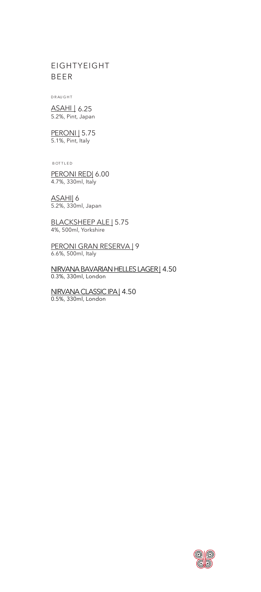## EIGHTYEIGHT BEER

D R AU G H T

ASAHI | 6.25 5.2%, Pint, Japan

**PERONI** 5.75 5.1%, Pint, Italy

**BOTTLED** 

PERONI RED| 6.00 4.7%, 330ml, Italy

ASAHI| 6 5.2%, 330ml, Japan

BLACKSHEEP ALE | 5.75 4%, 500ml, Yorkshire

PERONI GRAN RESERVA | 9 6.6%, 500ml, Italy

NIRVANA BAVARIAN HELLES LAGER| 4.50 0.3%, 330ml, London

NIRVANA CLASSIC IPA | 4.50 0.5%, 330ml, London

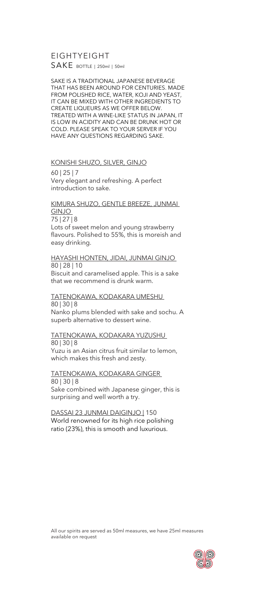EIGHTYEIGHT SAKE BOTTLE | 250ml | 50ml

SAKE IS A TRADITIONAL JAPANESE BEVERAGE THAT HAS BEEN AROUND FOR CENTURIES. MADE FROM POLISHED RICE, WATER, KOJI AND YEAST, IT CAN BE MIXED WITH OTHER INGREDIENTS TO CREATE LIQUEURS AS WE OFFER BELOW. TREATED WITH A WINE-LIKE STATUS IN JAPAN, IT IS LOW IN ACIDITY AND CAN BE DRUNK HOT OR COLD. PLEASE SPEAK TO YOUR SERVER IF YOU HAVE ANY QUESTIONS REGARDING SAKE.

KONISHI SHUZO, SILVER, GINJO 60 | 25 | 7 Very elegant and refreshing. A perfect introduction to sake.

## KIMURA SHUZO, GENTLE BREEZE, JUNMAI GINJO

75 | 27 | 8 Lots of sweet melon and young strawberry flavours. Polished to 55%, this is moreish and easy drinking.

## HAYASHI HONTEN, JIDAI, JUNMAI GINJO 80 | 28 | 10

Biscuit and caramelised apple. This is a sake that we recommend is drunk warm.

#### TATENOKAWA, KODAKARA UMESHU 80 | 30 | 8

Nanko plums blended with sake and sochu. A superb alternative to dessert wine.

#### TATENOKAWA, KODAKARA YUZUSHU 80 | 30 | 8

Yuzu is an Asian citrus fruit similar to lemon, which makes this fresh and zesty.

#### TATENOKAWA, KODAKARA GINGER 80 | 30 | 8

Sake combined with Japanese ginger, this is surprising and well worth a try.

DASSAI 23 JUNMAI DAIGINJO | 150 World renowned for its high rice polishing ratio (23%), this is smooth and luxurious.

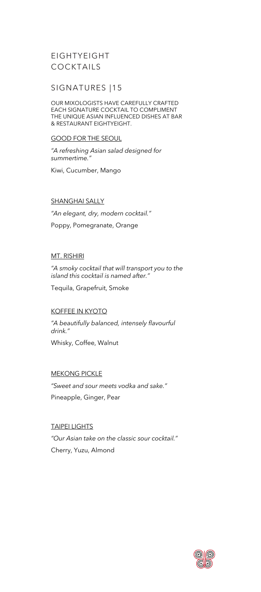## EIGHTYEIGHT COCKTAILS

## SIGNATURES |15

OUR MIXOLOGISTS HAVE CAREFULLY CRAFTED EACH SIGNATURE COCKTAIL TO COMPLIMENT THE UNIQUE ASIAN INFLUENCED DISHES AT BAR & RESTAURANT EIGHTYEIGHT.

#### GOOD FOR THE SEOUL

*"A refreshing Asian salad designed for summertime."*

Kiwi, Cucumber, Mango

### SHANGHAI SALLY

*"An elegant, dry, modern cocktail."* Poppy, Pomegranate, Orange

### MT. RISHIRI

*"A smoky cocktail that will transport you to the island this cocktail is named after."*

Tequila, Grapefruit, Smoke

### KOFFEE IN KYOTO

*"A beautifully balanced, intensely flavourful drink."*

Whisky, Coffee, Walnut

### MEKONG PICKLE

*"Sweet and sour meets vodka and sake."* Pineapple, Ginger, Pear

TAIPEI LIGHTS *"Our Asian take on the classic sour cocktail."* Cherry, Yuzu, Almond

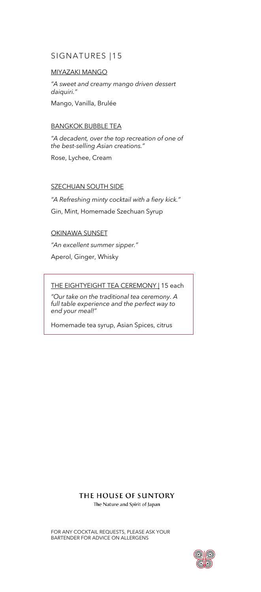## SIGNATURES |15

### MIYAZAKI MANGO

*"A sweet and creamy mango driven dessert daiquiri."* Mango, Vanilla, Brulée

### BANGKOK BUBBLE TEA

*"A decadent, over the top recreation of one of the best-selling Asian creations."* Rose, Lychee, Cream

### **SZECHUAN SOUTH SIDE**

*"A Refreshing minty cocktail with a fiery kick."* Gin, Mint, Homemade Szechuan Syrup

### OKINAWA SUNSET

*"An excellent summer sipper."* Aperol, Ginger, Whisky

### THE EIGHTYEIGHT TEA CEREMONY | 15 each

*"Our take on the traditional tea ceremony. A full table experience and the perfect way to end your meal!"*

Homemade tea syrup, Asian Spices, citrus

### THE HOUSE OF SUNTORY

The Nature and Spirit of Japan

FOR ANY COCKTAIL REQUESTS, PLEASE ASK YOUR BARTENDER FOR ADVICE ON ALLERGENS

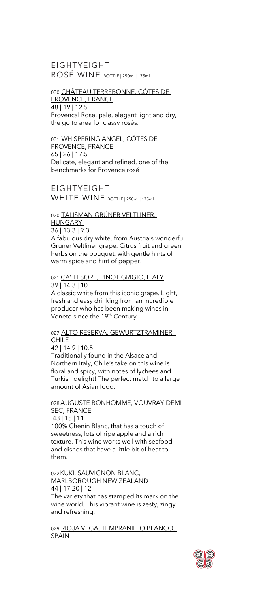EIGHTYEIGHT ROSÉ WINE BOTTLE | 250ml | 175ml

030 CHÂTEAU TERREBONNE, CÔTES DE PROVENCE, FRANCE 48 | 19 | 12.5 Provencal Rose, pale, elegant light and dry, the go to area for classy rosés.

031 WHISPERING ANGEL, CÔTES DE PROVENCE, FRANCE 65 | 26 | 17.5 Delicate, elegant and refined, one of the benchmarks for Provence rosé

EIGHTYEIGHT WHITE WINE BOTTLE | 250ml | 175ml

#### 020 TALISMAN GRÜNER VELTLINER, HUNGARY

36 | 13.3 | 9.3

A fabulous dry white, from Austria's wonderful Gruner Veltliner grape. Citrus fruit and green herbs on the bouquet, with gentle hints of warm spice and hint of pepper.

#### 021 CA' TESORE, PINOT GRIGIO, ITALY 39 | 14.3 | 10

A classic white from this iconic grape. Light, fresh and easy drinking from an incredible producer who has been making wines in Veneto since the 19<sup>th</sup> Century.

#### 027 ALTO RESERVA, GEWURTZTRAMINER, **CHILE**

42 | 14.9 | 10.5

and refreshing.

Traditionally found in the Alsace and Northern Italy, Chile's take on this wine is floral and spicy, with notes of lychees and Turkish delight! The perfect match to a large amount of Asian food.

### 028 AUGUSTE BONHOMME, VOUVRAY DEMI SEC, FRANCE

43 | 15 | 11 100% Chenin Blanc, that has a touch of sweetness, lots of ripe apple and a rich texture. This wine works well with seafood and dishes that have a little bit of heat to them.

022KUKI, SAUVIGNON BLANC, MARLBOROUGH NEW ZEALAND 44 | 17.20 | 12 The variety that has stamped its mark on the wine world. This vibrant wine is zesty, zingy

029 RIOJA VEGA, TEMPRANILLO BLANCO, **SPAIN** 

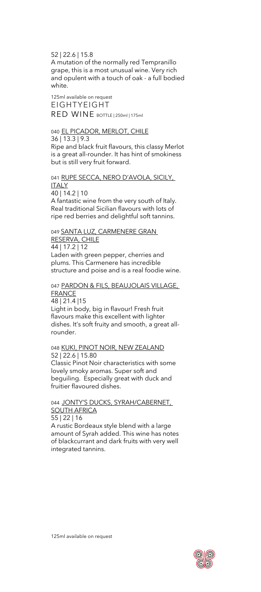52 | 22.6 | 15.8

A mutation of the normally red Tempranillo grape, this is a most unusual wine. Very rich and opulent with a touch of oak - a full bodied white.

125ml available on request EIGHTYEIGHT RED WINE BOTTLE | 250ml | 175ml

### 040 EL PICADOR, MERLOT, CHILE

36 | 13.3 | 9.3 Ripe and black fruit flavours, this classy Merlot is a great all-rounder. It has hint of smokiness but is still very fruit forward.

041 RUPE SECCA, NERO D'AVOLA, SICILY, **ITALY** 40 | 14.2 | 10 A fantastic wine from the very south of Italy. Real traditional Sicilian flavours with lots of ripe red berries and delightful soft tannins.

049 SANTA LUZ, CARMENERE GRAN RESERVA, CHILE 44 | 17.2 | 12 Laden with green pepper, cherries and plums. This Carmenere has incredible structure and poise and is a real foodie wine.

#### 047 PARDON & FILS, BEAUJOLAIS VILLAGE, **FRANCE**

48 | 21.4 |15 Light in body, big in flavour! Fresh fruit flavours make this excellent with lighter dishes. It's soft fruity and smooth, a great allrounder.

## 048 KUKI, PINOT NOIR, NEW ZEALAND 52 | 22.6 | 15.80 Classic Pinot Noir characteristics with some

lovely smoky aromas. Super soft and beguiling. Especially great with duck and fruitier flavoured dishes.

044 JONTY'S DUCKS, SYRAH/CABERNET, SOUTH AFRICA 55 | 22 | 16

A rustic Bordeaux style blend with a large amount of Syrah added. This wine has notes of blackcurrant and dark fruits with very well integrated tannins.

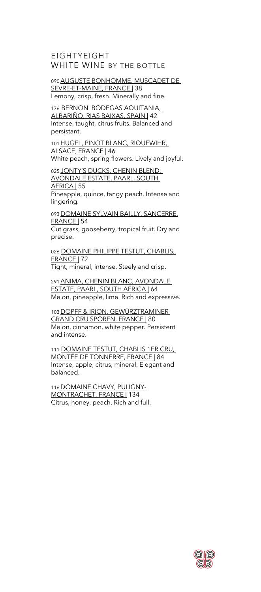EIGHTYEIGHT WHITE WINE BY THE BOTTLE

090AUGUSTE BONHOMME, MUSCADET DE SEVRE-ET-MAINE, FRANCE | 38 Lemony, crisp, fresh. Minerally and fine.

176 BERNON' BODEGAS AQUITANIA, ALBARIÑO, RIAS BAIXAS, SPAIN | 42 Intense, taught, citrus fruits. Balanced and persistant.

101 HUGEL, PINOT BLANC, RIQUEWIHR, ALSACE, FRANCE | 46 White peach, spring flowers. Lively and joyful.

025 JONTY'S DUCKS, CHENIN BLEND, AVONDALE ESTATE, PAARL, SOUTH AFRICA | 55 Pineapple, quince, tangy peach. Intense and lingering.

093 DOMAINE SYLVAIN BAILLY, SANCERRE, FRANCE | 54

Cut grass, gooseberry, tropical fruit. Dry and precise.

026 DOMAINE PHILIPPE TESTUT, CHABLIS, FRANCE | 72 Tight, mineral, intense. Steely and crisp.

291ANIMA, CHENIN BLANC, AVONDALE

ESTATE, PAARL, SOUTH AFRICA | 64 Melon, pineapple, lime. Rich and expressive.

103DOPFF & IRION, GEWŰRZTRAMINER GRAND CRU SPOREN, FRANCE | 80 Melon, cinnamon, white pepper. Persistent and intense.

111 DOMAINE TESTUT, CHABLIS 1ER CRU, MONTÉE DE TONNERRE, FRANCE | 84 Intense, apple, citrus, mineral. Elegant and balanced.

116 DOMAINE CHAVY, PULIGNY-MONTRACHET, FRANCE | 134 Citrus, honey, peach. Rich and full.

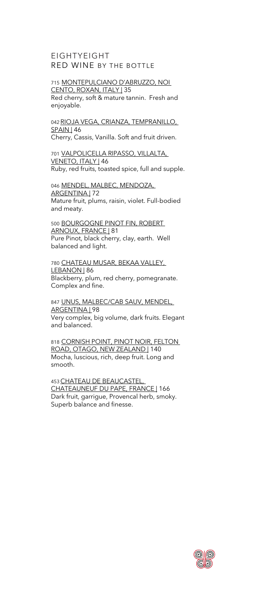## EIGHTYEIGHT RED WINE BY THE BOTTLE

## 715 MONTEPULCIANO D'ABRUZZO, NOI CENTO, ROXAN, ITALY | 35

Red cherry, soft & mature tannin. Fresh and enjoyable.

042 RIOJA VEGA, CRIANZA, TEMPRANILLO, **SPAIN** 46 Cherry, Cassis, Vanilla. Soft and fruit driven.

701 VALPOLICELLA RIPASSO, VILLALTA, VENETO, ITALY | 46 Ruby, red fruits, toasted spice, full and supple.

046 MENDEL, MALBEC, MENDOZA, ARGENTINA | 72 Mature fruit, plums, raisin, violet. Full-bodied and meaty.

500 BOURGOGNE PINOT FIN, ROBERT ARNOUX, FRANCE | 81 Pure Pinot, black cherry, clay, earth. Well balanced and light.

780 CHATEAU MUSAR, BEKAA VALLEY, LEBANON | 86 Blackberry, plum, red cherry, pomegranate. Complex and fine.

847 UNUS, MALBEC/CAB SAUV, MENDEL, ARGENTINA | 98 Very complex, big volume, dark fruits. Elegant and balanced.

818 CORNISH POINT, PINOT NOIR, FELTON ROAD, OTAGO, NEW ZEALAND | 140 Mocha, luscious, rich, deep fruit. Long and smooth.

453CHATEAU DE BEAUCASTEL, CHATEAUNEUF DU PAPE, FRANCE | 166 Dark fruit, garrigue, Provencal herb, smoky. Superb balance and finesse.

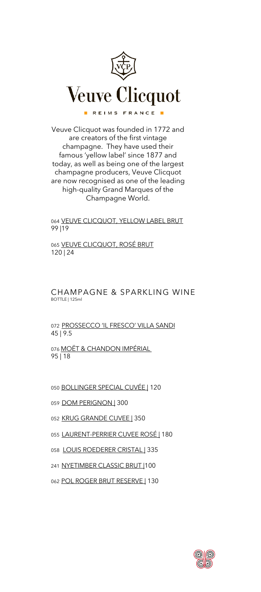

Veuve Clicquot was founded in 1772 and are creators of the first vintage champagne. They have used their famous 'yellow label' since 1877 and today, as well as being one of the largest champagne producers, Veuve Clicquot are now recognised as one of the leading high-quality Grand Marques of the Champagne World.

064 VEUVE CLICQUOT, YELLOW LABEL BRUT 99 |19

065 VEUVE CLICQUOT, ROSÉ BRUT 120 | 24

CHAMPAGNE & SPARKLING WINE BOTTLE | 125ml

072 PROSSECCO 'IL FRESCO' VILLA SANDI 45 | 9.5

076 MOËT & CHANDON IMPÉRIAL 95 | 18

050 BOLLINGER SPECIAL CUVÉE | 120

059 DOM PERIGNON | 300

052 KRUG GRANDE CUVEE | 350

055 LAURENT-PERRIER CUVEE ROSÉ | 180

- 058 LOUIS ROEDERER CRISTAL | 335
- 241 NYETIMBER CLASSIC BRUT |100

062 POL ROGER BRUT RESERVE | 130

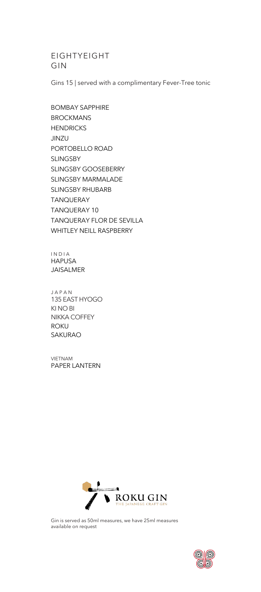## EIGHTYEIGHT GIN

Gins 15 | served with a complimentary Fever-Tree tonic

BOMBAY SAPPHIRE BROCKMANS **HENDRICKS** JINZU PORTOBELLO ROAD SLINGSBY SLINGSBY GOOSEBERRY SLINGSBY MARMALADE SLINGSBY RHUBARB TANQUERAY TANQUERAY 10 TANQUERAY FLOR DE SEVILLA WHITLEY NEILL RASPBERRY

I N D I A HAPUSA JAISALMER

J A P A N 135 EAST HYOGO KI NO BI NIKKA COFFEY ROKU SAKURAO

VIETNAM PAPER LANTERN



Gin is served as 50ml measures, we have 25ml measures available on request

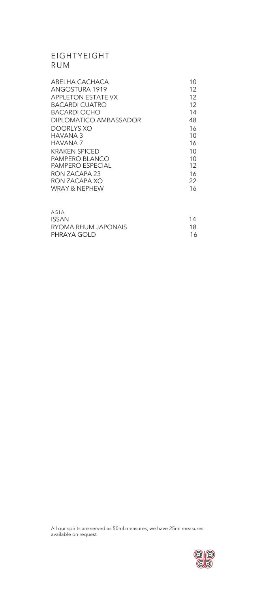## EIGHTYEIGHT RUM

| ABELHA CACHACA         | 10 |
|------------------------|----|
| ANGOSTURA 1919         | 12 |
| APPLETON ESTATE VX     | 12 |
| BACARDI CUATRO         | 12 |
| BACARDI OCHO           | 14 |
| DIPLOMATICO AMBASSADOR | 48 |
| DOORLYS XO             | 16 |
| HAVANA 3               | 10 |
| HAVANA 7               | 16 |
| KRAKFN SPICFD          | 10 |
| PAMPERO BLANCO         | 10 |
| PAMPERO ESPECIAL       | 12 |
| RON 7ACAPA 23          | 16 |
| RON ZACAPA XO          | 22 |
| WRAY & NFPHFW          | 16 |
|                        |    |

| ASIA                |    |
|---------------------|----|
| ISSAN               | 14 |
| RYOMA RHUM JAPONAIS | 18 |
| PHRAYA GOLD         | 16 |
|                     |    |

All our spirits are served as 50ml measures, we have 25ml measures available on request

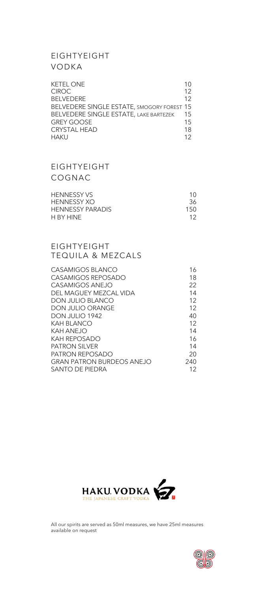## EIGHTYEIGHT VODKA

| <b>KETEL ONE</b>                           | 10  |
|--------------------------------------------|-----|
| <b>CIROC</b>                               | 12  |
| <b>BELVEDERE</b>                           | 12  |
| BELVEDERE SINGLE ESTATE, SMOGORY FOREST 15 |     |
| BELVEDERE SINGLE ESTATE, LAKE BARTEZEK     | 15  |
| <b>GREY GOOSE</b>                          | 1.5 |
| <b>CRYSTAL HEAD</b>                        | 18  |
| <b>HAKU</b>                                | 12  |

## EIGHTYEIGHT COGNAC

| <b>HENNESSY VS</b>      | 10  |
|-------------------------|-----|
| HENNESSY XO             | 36  |
| <b>HENNESSY PARADIS</b> | 150 |
| H BY HINF               | 12  |

## EIGHTYEIGHT TEQUILA & MEZCALS

| CASAMIGOS BI ANCO         | 16  |
|---------------------------|-----|
| CASAMIGOS REPOSADO        | 18  |
| CASAMIGOS ANF.IO          | 22  |
| DEI MAGUEY MEZCAL VIDA    | 14  |
| <b>DON JULIO BLANCO</b>   | 12  |
| DON JULIO ORANGF          | 12  |
| DON JULIO 1942            | 40  |
| KAH BI ANCO               | 12  |
| KAH ANF.IO                | 14  |
| KAH RFPOSADO              | 16  |
| PATRON SII VER            | 14  |
| PATRON REPOSADO           | 20  |
| GRAN PATRON BURDEOS ANEJO | 240 |
| SANTO DE PIEDRA           | 12  |
|                           |     |



All our spirits are served as 50ml measures, we have 25ml measures available on request

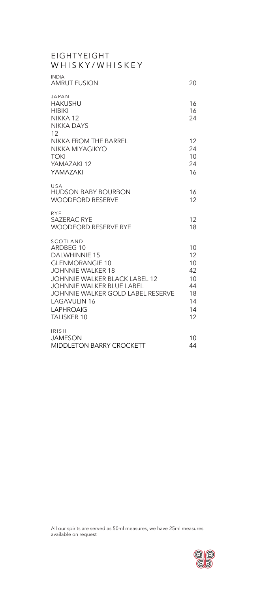| <b>EIGHTYEIGHT</b><br>WHISKY/WHISKEY                                                                                                                                                                                                                                                  |                                                          |
|---------------------------------------------------------------------------------------------------------------------------------------------------------------------------------------------------------------------------------------------------------------------------------------|----------------------------------------------------------|
| <b>INDIA</b><br>AMRUT FUSION                                                                                                                                                                                                                                                          | 20                                                       |
| <b>JAPAN</b><br><b>HAKUSHU</b><br><b>HIBIKI</b><br>NIKKA <sub>12</sub><br><b>NIKKA DAYS</b><br>12                                                                                                                                                                                     | 16<br>16<br>24                                           |
| <b>NIKKA FROM THE BARREL</b><br>NIKKA MIYAGIKYO<br><b>TOKI</b><br>YAMAZAKI 12<br>YAMAZAKI                                                                                                                                                                                             | 12<br>24<br>10<br>24<br>16                               |
| USA<br><b>HUDSON BABY BOURBON</b><br><b>WOODFORD RESERVE</b>                                                                                                                                                                                                                          | 16<br>12                                                 |
| <b>RYE</b><br><b>SAZERAC RYE</b><br><b>WOODFORD RESERVE RYE</b>                                                                                                                                                                                                                       | 12<br>18                                                 |
| SCOTLAND<br>ARDBEG 10<br><b>DALWHINNIE 15</b><br><b>GLENMORANGIE 10</b><br><b>JOHNNIE WALKER 18</b><br><b>JOHNNIE WALKER BLACK LABEL 12</b><br><b>JOHNNIE WALKER BLUE LABEL</b><br>JOHNNIE WALKER GOLD LABEL RESERVE<br><b>LAGAVULIN 16</b><br><b>LAPHROAIG</b><br><b>TALISKER 10</b> | 10<br>12<br>10<br>42<br>10<br>44<br>18<br>14<br>14<br>12 |
| <b>IRISH</b><br><b>JAMESON</b><br><b>MIDDLETON BARRY CROCKETT</b>                                                                                                                                                                                                                     | 10<br>44                                                 |

All our spirits are served as 50ml measures, we have 25ml measures available on request

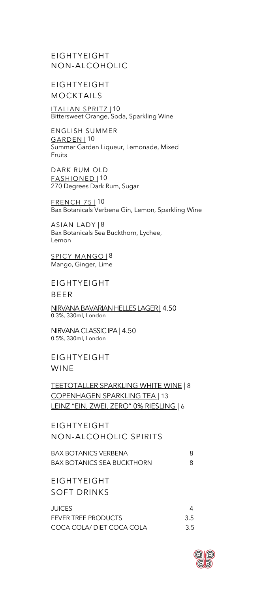EIGHTYEIGHT NON-ALCOHOLIC

EIGHTYEIGHT MOCKTAILS

ITALIAN SPRITZ | 10 Bittersweet Orange, Soda, Sparkling Wine

ENGLISH SUMMER GARDEN | 10 Summer Garden Liqueur, Lemonade, Mixed Fruits

DARK RUM OLD FASHIONED | 10 270 Degrees Dark Rum, Sugar

FRENCH 75 | 10 Bax Botanicals Verbena Gin, Lemon, Sparkling Wine

ASIAN LADY | 8 Bax Botanicals Sea Buckthorn, Lychee, Lemon

SPICY MANGO | 8 Mango, Ginger, Lime

EIGHTYEIGHT BEER

NIRVANA BAVARIAN HELLES LAGER | 4.50 0.3%, 330ml, London

NIRVANA CLASSIC IPA | 4.50 0.5%, 330ml, London

EIGHTYEIGHT WINE

TEETOTALLER SPARKLING WHITE WINE | 8 COPENHAGEN SPARKLING TEA | 13 LEINZ "EIN, ZWEI, ZERO" 0% RIESLING | 6

EIGHTYEIGHT NON-ALCOHOLIC SPIRITS

BAX BOTANICS VERBENA 8 BAX BOTANICS SEA BUCKTHORN 8

EIGHTYEIGHT SOFT DRINKS

| JUICES.                    |     |
|----------------------------|-----|
| <b>FEVER TREE PRODUCTS</b> | 3.5 |
| COCA COLA/ DIET COCA COLA  | 3.5 |